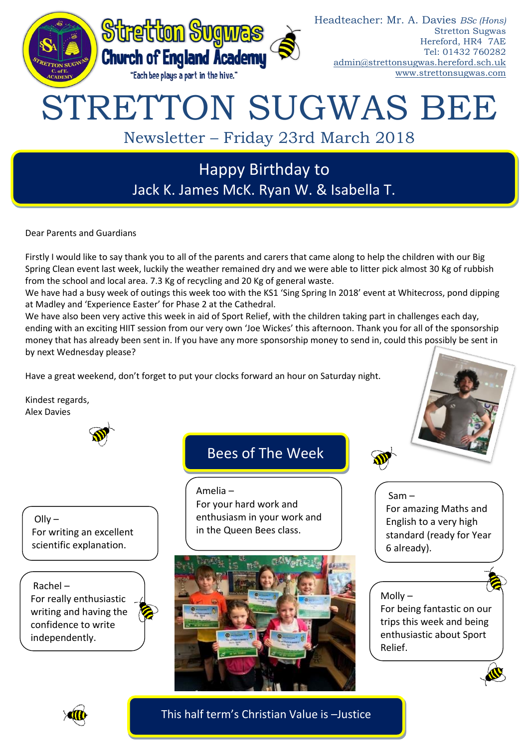

# STRETTON SUGWAS BEE

# Newsletter – Friday 23rd March 2018

# Happy Birthday to Jack K. James McK. Ryan W. & Isabella T.

Dear Parents and Guardians

Firstly I would like to say thank you to all of the parents and carers that came along to help the children with our Big Spring Clean event last week, luckily the weather remained dry and we were able to litter pick almost 30 Kg of rubbish from the school and local area. 7.3 Kg of recycling and 20 Kg of general waste.

We have had a busy week of outings this week too with the KS1 'Sing Spring In 2018' event at Whitecross, pond dipping at Madley and 'Experience Easter' for Phase 2 at the Cathedral.

We have also been very active this week in aid of Sport Relief, with the children taking part in challenges each day, ending with an exciting HIIT session from our very own 'Joe Wickes' this afternoon. Thank you for all of the sponsorship money that has already been sent in. If you have any more sponsorship money to send in, could this possibly be sent in by next Wednesday please?

Have a great weekend, don't forget to put your clocks forward an hour on Saturday night.

Kindest regards, Alex Davies



 $O$ lly  $-$ For writing an excellent scientific explanation.

Rachel – For really enthusiastic writing and having the confidence to write independently.

# Bees of The Week

Amelia – For your hard work and enthusiasm in your work and in the Queen Bees class.



Sam – For amazing Maths and English to a very high standard (ready for Year 6 already).

## $M$ olly –

For being fantastic on our trips this week and being enthusiastic about Sport Relief.



This half term's Christian Value is –Justice